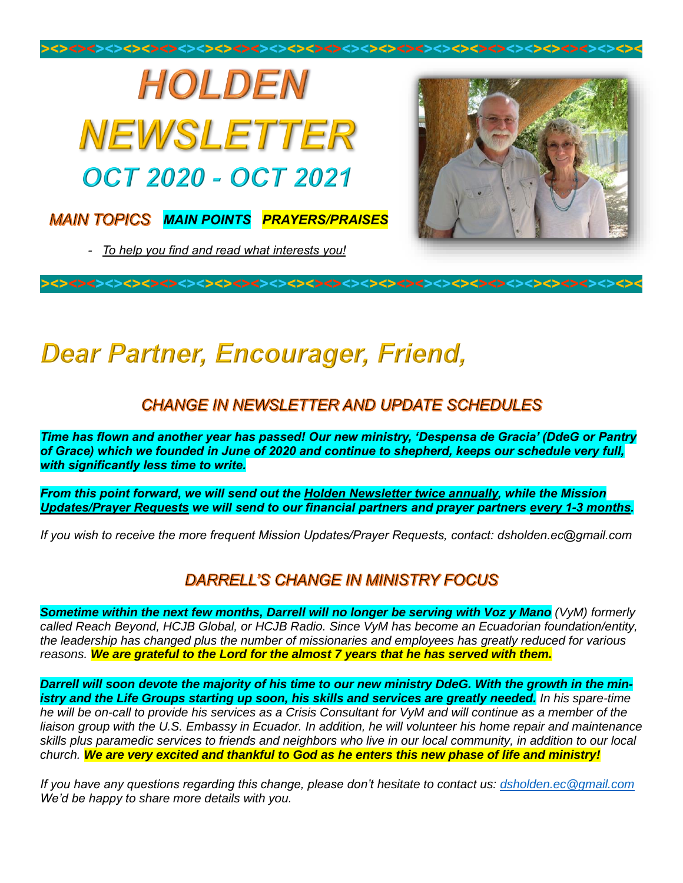

# **Dear Partner, Encourager, Friend,**

### **CHANGE IN NEWSLETTER AND UPDATE SCHEDULES**

*Time has flown and another year has passed! Our new ministry, 'Despensa de Gracia' (DdeG or Pantry of Grace) which we founded in June of 2020 and continue to shepherd, keeps our schedule very full, with significantly less time to write.*

*From this point forward, we will send out the Holden Newsletter twice annually, while the Mission Updates/Prayer Requests we will send to our financial partners and prayer partners every 1-3 months.*

*If you wish to receive the more frequent Mission Updates/Prayer Requests, contact: dsholden.ec@gmail.com*

#### DARRELL'S CHANGE IN MINISTRY FOCUS

*Sometime within the next few months, Darrell will no longer be serving with Voz y Mano (VyM) formerly called Reach Beyond, HCJB Global, or HCJB Radio. Since VyM has become an Ecuadorian foundation/entity, the leadership has changed plus the number of missionaries and employees has greatly reduced for various reasons. We are grateful to the Lord for the almost 7 years that he has served with them.*

*Darrell will soon devote the majority of his time to our new ministry DdeG. With the growth in the ministry and the Life Groups starting up soon, his skills and services are greatly needed. In his spare-time he will be on-call to provide his services as a Crisis Consultant for VyM and will continue as a member of the liaison group with the U.S. Embassy in Ecuador. In addition, he will volunteer his home repair and maintenance skills plus paramedic services to friends and neighbors who live in our local community, in addition to our local church. We are very excited and thankful to God as he enters this new phase of life and ministry!*

*If you have any questions regarding this change, please don't hesitate to contact us: [dsholden.ec@gmail.com](mailto:dsholden.ec@gmail.com) We'd be happy to share more details with you.*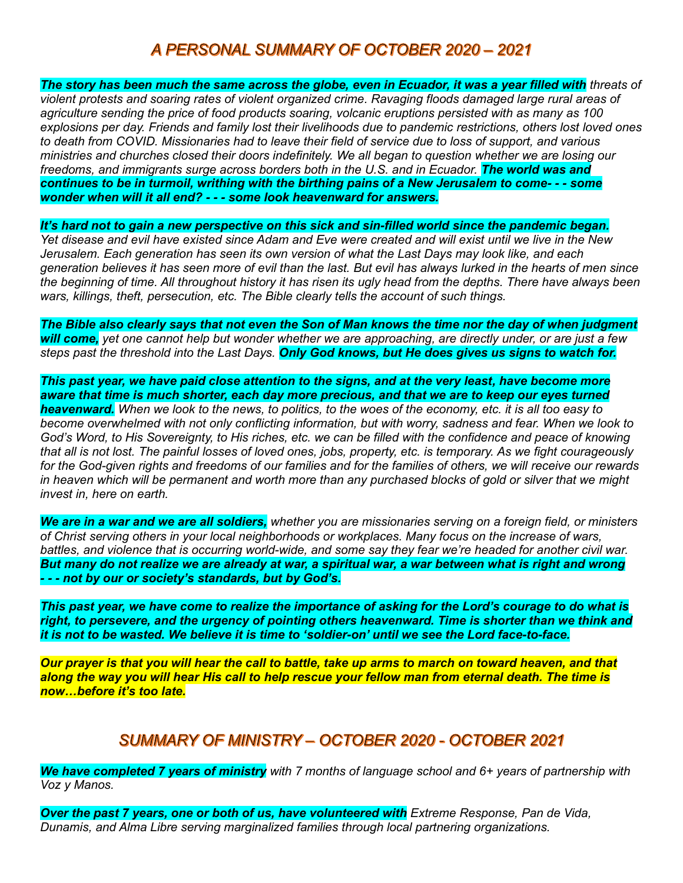#### A PERSONAL SUMMARY OF OCTOBER 2020 - 2021

*The story has been much the same across the globe, even in Ecuador, it was a year filled with threats of violent protests and soaring rates of violent organized crime. Ravaging floods damaged large rural areas of agriculture sending the price of food products soaring, volcanic eruptions persisted with as many as 100 explosions per day. Friends and family lost their livelihoods due to pandemic restrictions, others lost loved ones to death from COVID. Missionaries had to leave their field of service due to loss of support, and various ministries and churches closed their doors indefinitely. We all began to question whether we are losing our*  freedoms, and immigrants surge across borders both in the U.S. and in Ecuador. **The world was and** *continues to be in turmoil, writhing with the birthing pains of a New Jerusalem to come- - - some wonder when will it all end? - - - some look heavenward for answers.*

It's hard not to gain a new perspective on this sick and sin-filled world since the pandemic began. *Yet disease and evil have existed since Adam and Eve were created and will exist until we live in the New* 

*Jerusalem. Each generation has seen its own version of what the Last Days may look like, and each generation believes it has seen more of evil than the last. But evil has always lurked in the hearts of men since the beginning of time. All throughout history it has risen its ugly head from the depths. There have always been wars, killings, theft, persecution, etc. The Bible clearly tells the account of such things.* 

*The Bible also clearly says that not even the Son of Man knows the time nor the day of when judgment will come, yet one cannot help but wonder whether we are approaching, are directly under, or are just a few steps past the threshold into the Last Days. Only God knows, but He does gives us signs to watch for.*

*This past year, we have paid close attention to the signs, and at the very least, have become more aware that time is much shorter, each day more precious, and that we are to keep our eyes turned heavenward. When we look to the news, to politics, to the woes of the economy, etc. it is all too easy to become overwhelmed with not only conflicting information, but with worry, sadness and fear. When we look to God's Word, to His Sovereignty, to His riches, etc. we can be filled with the confidence and peace of knowing that all is not lost. The painful losses of loved ones, jobs, property, etc. is temporary. As we fight courageously for the God-given rights and freedoms of our families and for the families of others, we will receive our rewards in heaven which will be permanent and worth more than any purchased blocks of gold or silver that we might invest in, here on earth.*

*We are in a war and we are all soldiers, whether you are missionaries serving on a foreign field, or ministers of Christ serving others in your local neighborhoods or workplaces. Many focus on the increase of wars, battles, and violence that is occurring world-wide, and some say they fear we're headed for another civil war. But many do not realize we are already at war, a spiritual war, a war between what is right and wrong - - - not by our or society's standards, but by God's.*

*This past year, we have come to realize the importance of asking for the Lord's courage to do what is right, to persevere, and the urgency of pointing others heavenward. Time is shorter than we think and it is not to be wasted. We believe it is time to 'soldier-on' until we see the Lord face-to-face.*

*Our prayer is that you will hear the call to battle, take up arms to march on toward heaven, and that along the way you will hear His call to help rescue your fellow man from eternal death. The time is now…before it's too late.*

#### SUMMARY OF MINISTRY - OCTOBER 2020 - OCTOBER 2021

*We have completed 7 years of ministry with 7 months of language school and 6+ years of partnership with Voz y Manos.*

*Over the past 7 years, one or both of us, have volunteered with Extreme Response, Pan de Vida, Dunamis, and Alma Libre serving marginalized families through local partnering organizations.*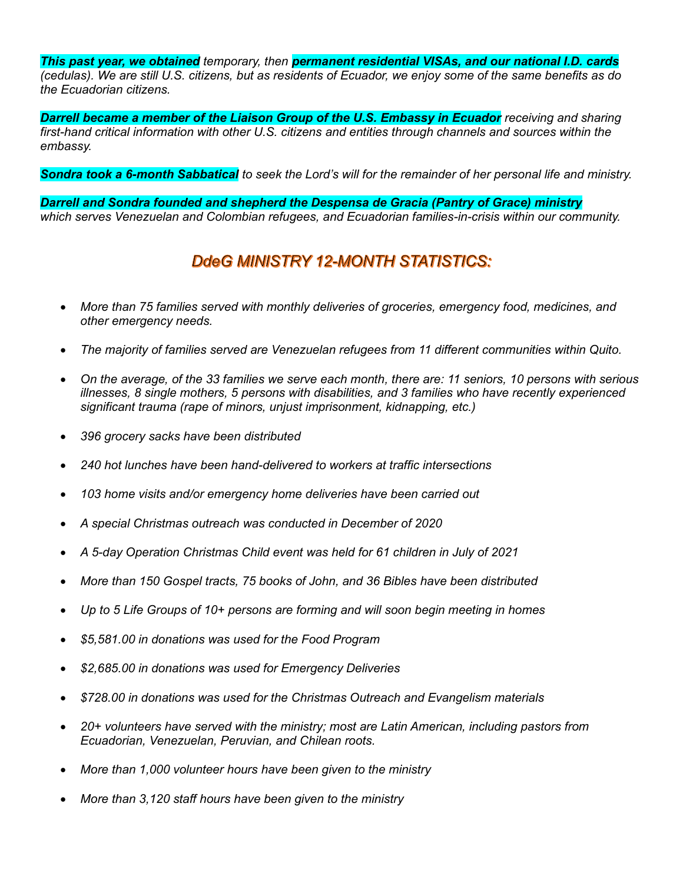*This past year, we obtained temporary, then permanent residential VISAs, and our national I.D. cards (cedulas). We are still U.S. citizens, but as residents of Ecuador, we enjoy some of the same benefits as do the Ecuadorian citizens.*

*Darrell became a member of the Liaison Group of the U.S. Embassy in Ecuador receiving and sharing first-hand critical information with other U.S. citizens and entities through channels and sources within the embassy.*

*Sondra took a 6-month Sabbatical to seek the Lord's will for the remainder of her personal life and ministry.*

*Darrell and Sondra founded and shepherd the Despensa de Gracia (Pantry of Grace) ministry which serves Venezuelan and Colombian refugees, and Ecuadorian families-in-crisis within our community.*

#### DdeG MINISTRY 12-MONTH STATISTICS:

- *More than 75 families served with monthly deliveries of groceries, emergency food, medicines, and other emergency needs.*
- *The majority of families served are Venezuelan refugees from 11 different communities within Quito.*
- *On the average, of the 33 families we serve each month, there are: 11 seniors, 10 persons with serious illnesses, 8 single mothers, 5 persons with disabilities, and 3 families who have recently experienced significant trauma (rape of minors, unjust imprisonment, kidnapping, etc.)*
- *396 grocery sacks have been distributed*
- *240 hot lunches have been hand-delivered to workers at traffic intersections*
- *103 home visits and/or emergency home deliveries have been carried out*
- *A special Christmas outreach was conducted in December of 2020*
- *A 5-day Operation Christmas Child event was held for 61 children in July of 2021*
- *More than 150 Gospel tracts, 75 books of John, and 36 Bibles have been distributed*
- *Up to 5 Life Groups of 10+ persons are forming and will soon begin meeting in homes*
- *\$5,581.00 in donations was used for the Food Program*
- *\$2,685.00 in donations was used for Emergency Deliveries*
- *\$728.00 in donations was used for the Christmas Outreach and Evangelism materials*
- *20+ volunteers have served with the ministry; most are Latin American, including pastors from Ecuadorian, Venezuelan, Peruvian, and Chilean roots.*
- *More than 1,000 volunteer hours have been given to the ministry*
- *More than 3,120 staff hours have been given to the ministry*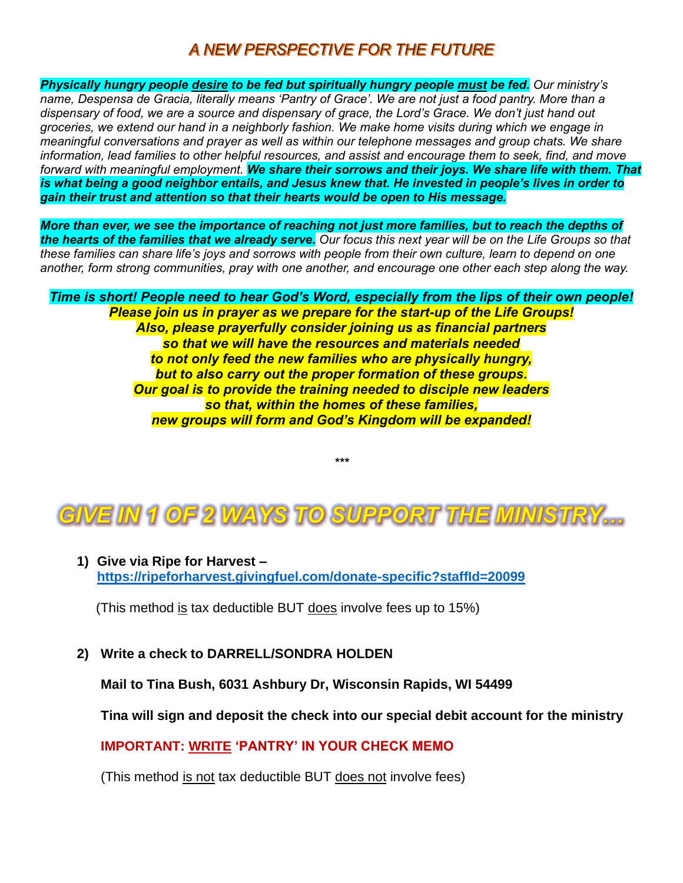#### A NEW PERSPECTIVE FOR THE FUTURE

*Physically hungry people desire to be fed but spiritually hungry people must be fed. Our ministry's name, Despensa de Gracia, literally means 'Pantry of Grace'. We are not just a food pantry. More than a dispensary of food, we are a source and dispensary of grace, the Lord's Grace. We don't just hand out groceries, we extend our hand in a neighborly fashion. We make home visits during which we engage in meaningful conversations and prayer as well as within our telephone messages and group chats. We share information, lead families to other helpful resources, and assist and encourage them to seek, find, and move forward with meaningful employment. We share their sorrows and their joys. We share life with them. That is what being a good neighbor entails, and Jesus knew that. He invested in people's lives in order to gain their trust and attention so that their hearts would be open to His message.*

*More than ever, we see the importance of reaching not just more families, but to reach the depths of the hearts of the families that we already serve. Our focus this next year will be on the Life Groups so that these families can share life's joys and sorrows with people from their own culture, learn to depend on one another, form strong communities, pray with one another, and encourage one other each step along the way.*

*Time is short! People need to hear God's Word, especially from the lips of their own people! Please join us in prayer as we prepare for the start-up of the Life Groups! Also, please prayerfully consider joining us as financial partners so that we will have the resources and materials needed to not only feed the new families who are physically hungry, but to also carry out the proper formation of these groups. Our goal is to provide the training needed to disciple new leaders so that, within the homes of these families, new groups will form and God's Kingdom will be expanded!*



*\*\*\**

**1) Give via Ripe for Harvest – <https://ripeforharvest.givingfuel.com/donate-specific?staffId=20099>**

(This method is tax deductible BUT does involve fees up to 15%)

**2) Write a check to DARRELL/SONDRA HOLDEN**

**Mail to Tina Bush, 6031 Ashbury Dr, Wisconsin Rapids, WI 54499** 

**Tina will sign and deposit the check into our special debit account for the ministry**

**IMPORTANT: WRITE 'PANTRY' IN YOUR CHECK MEMO**

(This method is not tax deductible BUT does not involve fees)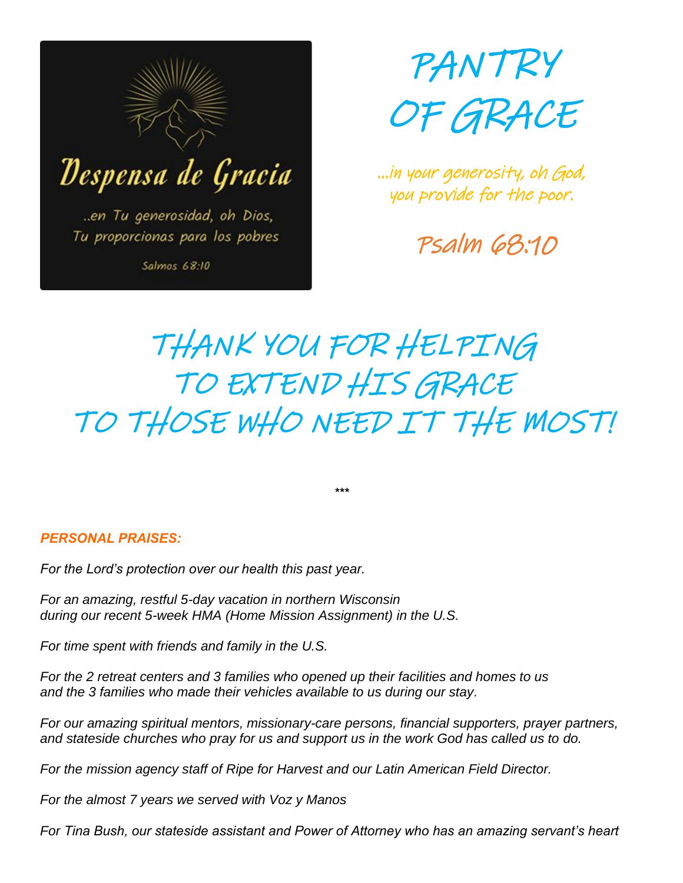



…in your generosity, oh God, you provide for the poor.

Psalm 68:10

# THANK YOU FOR HELPING TO EXTEND HIS GRACE TO THOSE WHO NEED IT THE MOST!

*\*\*\**

#### *PERSONAL PRAISES:*

*For the Lord's protection over our health this past year.*

*For an amazing, restful 5-day vacation in northern Wisconsin during our recent 5-week HMA (Home Mission Assignment) in the U.S.*

*For time spent with friends and family in the U.S.*

*For the 2 retreat centers and 3 families who opened up their facilities and homes to us and the 3 families who made their vehicles available to us during our stay.*

*For our amazing spiritual mentors, missionary-care persons, financial supporters, prayer partners, and stateside churches who pray for us and support us in the work God has called us to do.*

*For the mission agency staff of Ripe for Harvest and our Latin American Field Director.*

*For the almost 7 years we served with Voz y Manos*

*For Tina Bush, our stateside assistant and Power of Attorney who has an amazing servant's heart*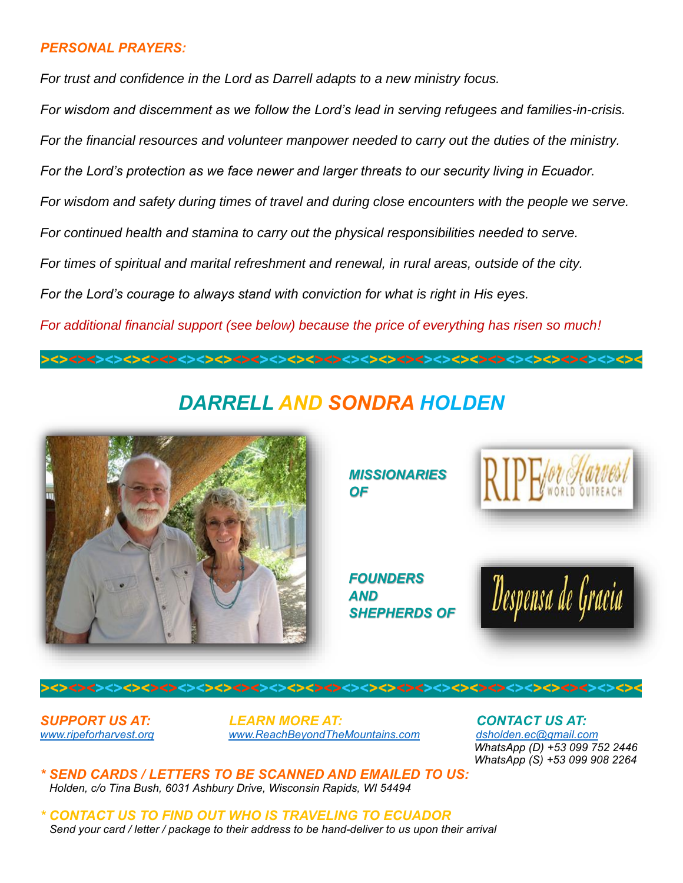#### *PERSONAL PRAYERS:*

*For trust and confidence in the Lord as Darrell adapts to a new ministry focus.*

*For wisdom and discernment as we follow the Lord's lead in serving refugees and families-in-crisis. For the financial resources and volunteer manpower needed to carry out the duties of the ministry. For the Lord's protection as we face newer and larger threats to our security living in Ecuador. For wisdom and safety during times of travel and during close encounters with the people we serve. For continued health and stamina to carry out the physical responsibilities needed to serve.*

*For times of spiritual and marital refreshment and renewal, in rural areas, outside of the city.*

*For the Lord's courage to always stand with conviction for what is right in His eyes.*

*For additional financial support (see below) because the price of everything has risen so much!*

## *DARRELL AND SONDRA HOLDEN*

*><><><><><><><><><><><><><><><><><><><><><><><><><><><><><><><><><*



*MISSIONARIES OF*

*FOUNDERS AND SHEPHERDS OF*



*SUPPORT US AT: LEARN MORE AT: CONTACT US AT:*  [www.ripeforharvest.org](http://www.ripeforharvest.org/) *www.ReachBeyondTheMountains.com* 

*><><><><><><><><><><><><><><><><><><><><><><><><><><><><><><><><><*

 *WhatsApp (D) +53 099 752 2446 WhatsApp (S) +53 099 908 2264*

*\* SEND CARDS / LETTERS TO BE SCANNED AND EMAILED TO US: Holden, c/o Tina Bush, 6031 Ashbury Drive, Wisconsin Rapids, WI 54494*

*\* CONTACT US TO FIND OUT WHO IS TRAVELING TO ECUADOR Send your card / letter / package to their address to be hand-deliver to us upon their arrival*